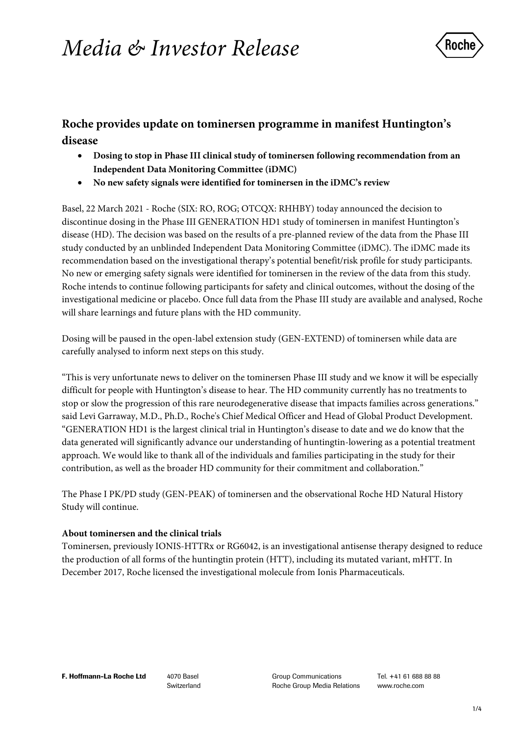# *Media & Investor Release*



# **Roche provides update on tominersen programme in manifest Huntington's disease**

- **Dosing to stop in Phase III clinical study of tominersen following recommendation from an Independent Data Monitoring Committee (iDMC)**
- **No new safety signals were identified for tominersen in the iDMC's review**

Basel, 22 March 2021 - Roche (SIX: RO, ROG; OTCQX: RHHBY) today announced the decision to discontinue dosing in the Phase III GENERATION HD1 study of tominersen in manifest Huntington's disease (HD). The decision was based on the results of a pre-planned review of the data from the Phase III study conducted by an unblinded Independent Data Monitoring Committee (iDMC). The iDMC made its recommendation based on the investigational therapy's potential benefit/risk profile for study participants. No new or emerging safety signals were identified for tominersen in the review of the data from this study. Roche intends to continue following participants for safety and clinical outcomes, without the dosing of the investigational medicine or placebo. Once full data from the Phase III study are available and analysed, Roche will share learnings and future plans with the HD community.

Dosing will be paused in the open-label extension study (GEN-EXTEND) of tominersen while data are carefully analysed to inform next steps on this study.

"This is very unfortunate news to deliver on the tominersen Phase III study and we know it will be especially difficult for people with Huntington's disease to hear. The HD community currently has no treatments to stop or slow the progression of this rare neurodegenerative disease that impacts families across generations." said Levi Garraway, M.D., Ph.D., Roche's Chief Medical Officer and Head of Global Product Development. "GENERATION HD1 is the largest clinical trial in Huntington's disease to date and we do know that the data generated will significantly advance our understanding of huntingtin-lowering as a potential treatment approach. We would like to thank all of the individuals and families participating in the study for their contribution, as well as the broader HD community for their commitment and collaboration."

The Phase I PK/PD study (GEN-PEAK) of tominersen and the observational Roche HD Natural History Study will continue.

## **About tominersen and the clinical trials**

Tominersen, previously IONIS-HTTRx or RG6042, is an investigational antisense therapy designed to reduce the production of all forms of the huntingtin protein (HTT), including its mutated variant, mHTT. In December 2017, Roche licensed the investigational molecule from Ionis Pharmaceuticals.

Switzerland

Group Communications Roche Group Media Relations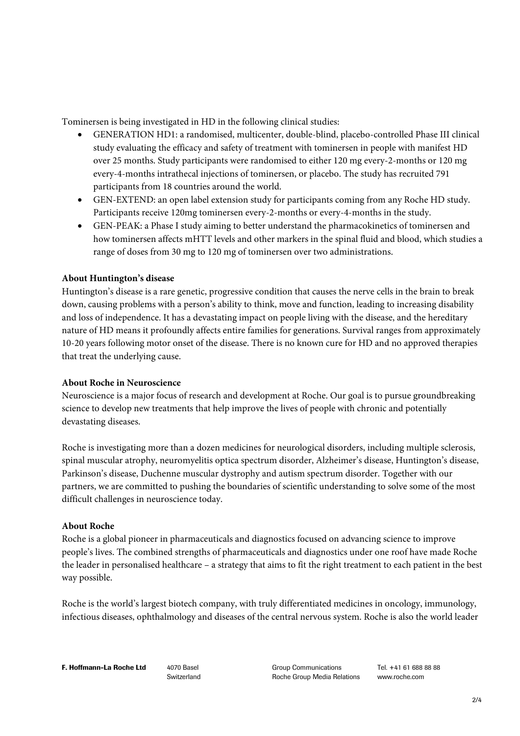Tominersen is being investigated in HD in the following clinical studies:

- GENERATION HD1: a randomised, multicenter, double-blind, placebo-controlled Phase III clinical study evaluating the efficacy and safety of treatment with tominersen in people with manifest HD over 25 months. Study participants were randomised to either 120 mg every-2-months or 120 mg every-4-months intrathecal injections of tominersen, or placebo. The study has recruited 791 participants from 18 countries around the world.
- GEN-EXTEND: an open label extension study for participants coming from any Roche HD study. Participants receive 120mg tominersen every-2-months or every-4-months in the study.
- GEN-PEAK: a Phase I study aiming to better understand the pharmacokinetics of tominersen and how tominersen affects mHTT levels and other markers in the spinal fluid and blood, which studies a range of doses from 30 mg to 120 mg of tominersen over two administrations.

### **About Huntington's disease**

Huntington's disease is a rare genetic, progressive condition that causes the nerve cells in the brain to break down, causing problems with a person's ability to think, move and function, leading to increasing disability and loss of independence. It has a devastating impact on people living with the disease, and the hereditary nature of HD means it profoundly affects entire families for generations. Survival ranges from approximately 10-20 years following motor onset of the disease. There is no known cure for HD and no approved therapies that treat the underlying cause.

#### **About Roche in Neuroscience**

Neuroscience is a major focus of research and development at Roche. Our goal is to pursue groundbreaking science to develop new treatments that help improve the lives of people with chronic and potentially devastating diseases.

Roche is investigating more than a dozen medicines for neurological disorders, including multiple sclerosis, spinal muscular atrophy, neuromyelitis optica spectrum disorder, Alzheimer's disease, Huntington's disease, Parkinson's disease, Duchenne muscular dystrophy and autism spectrum disorder. Together with our partners, we are committed to pushing the boundaries of scientific understanding to solve some of the most difficult challenges in neuroscience today.

#### **About Roche**

Roche is a global pioneer in pharmaceuticals and diagnostics focused on advancing science to improve people's lives. The combined strengths of pharmaceuticals and diagnostics under one roof have made Roche the leader in personalised healthcare – a strategy that aims to fit the right treatment to each patient in the best way possible.

Roche is the world's largest biotech company, with truly differentiated medicines in oncology, immunology, infectious diseases, ophthalmology and diseases of the central nervous system. Roche is also the world leader

**F. Hoffmann-La Roche Ltd** 4070 Basel

Switzerland

Group Communications Roche Group Media Relations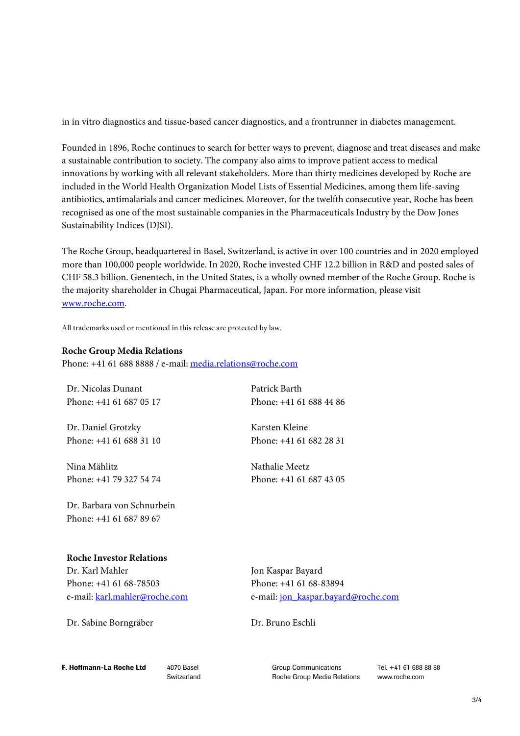in in vitro diagnostics and tissue-based cancer diagnostics, and a frontrunner in diabetes management.

Founded in 1896, Roche continues to search for better ways to prevent, diagnose and treat diseases and make a sustainable contribution to society. The company also aims to improve patient access to medical innovations by working with all relevant stakeholders. More than thirty medicines developed by Roche are included in the World Health Organization Model Lists of Essential Medicines, among them life-saving antibiotics, antimalarials and cancer medicines. Moreover, for the twelfth consecutive year, Roche has been recognised as one of the most sustainable companies in the Pharmaceuticals Industry by the Dow Jones Sustainability Indices (DJSI).

The Roche Group, headquartered in Basel, Switzerland, is active in over 100 countries and in 2020 employed more than 100,000 people worldwide. In 2020, Roche invested CHF 12.2 billion in R&D and posted sales of CHF 58.3 billion. Genentech, in the United States, is a wholly owned member of the Roche Group. Roche is the majority shareholder in Chugai Pharmaceutical, Japan. For more information, please visit [www.roche.com.](https://www.roche.com/)

All trademarks used or mentioned in this release are protected by law.

#### **Roche Group Media Relations**

Phone: +41 61 688 8888 / e-mail: [media.relations@roche.com](mailto:media.relations@roche.com)

Dr. Nicolas Dunant Phone: +41 61 687 05 17

Dr. Daniel Grotzky Phone: +41 61 688 31 10

Nina Mählitz Phone: +41 79 327 54 74

Dr. Barbara von Schnurbein Phone: +41 61 687 89 67

#### **Roche Investor Relations**

Dr. Karl Mahler Phone: +41 61 68-78503 e-mail: [karl.mahler@roche.com](mailto:karl.mahler@roche.com)

Dr. Sabine Borngräber Dr. Bruno Eschli

Patrick Barth Phone: +41 61 688 44 86

Karsten Kleine Phone: +41 61 682 28 31

Nathalie Meetz Phone: +41 61 687 43 05

Jon Kaspar Bayard Phone: +41 61 68-83894 e-mail: [jon\\_kaspar.bayard@roche.com](mailto:jon_kaspar.bayard@roche.com)

F. Hoffmann-La Roche Ltd 4070 Basel

Switzerland

Group Communications Roche Group Media Relations